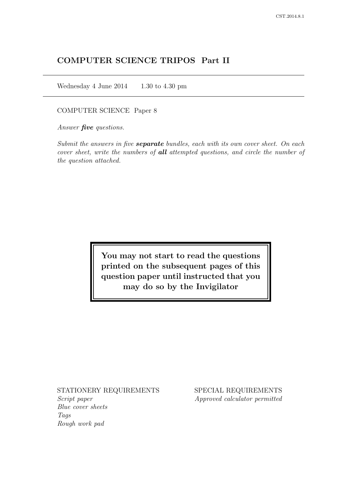# COMPUTER SCIENCE TRIPOS Part II

Wednesday 4 June 2014  $1.30$  to 4.30 pm

## COMPUTER SCIENCE Paper 8

Answer *five* questions.

Submit the answers in five **separate** bundles, each with its own cover sheet. On each cover sheet, write the numbers of **all** attempted questions, and circle the number of the question attached.

> You may not start to read the questions printed on the subsequent pages of this question paper until instructed that you may do so by the Invigilator

### STATIONERY REQUIREMENTS

Script paper Blue cover sheets Tags Rough work pad

SPECIAL REQUIREMENTS Approved calculator permitted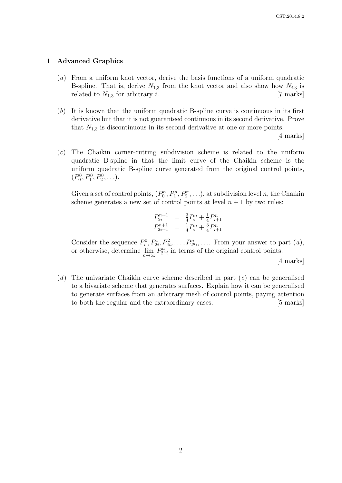### 1 Advanced Graphics

- (a) From a uniform knot vector, derive the basis functions of a uniform quadratic B-spline. That is, derive  $N_{1,3}$  from the knot vector and also show how  $N_{i,3}$  is related to  $N_{1,3}$  for arbitrary *i*. [7 marks]
- (b) It is known that the uniform quadratic B-spline curve is continuous in its first derivative but that it is not guaranteed continuous in its second derivative. Prove that  $N_{1,3}$  is discontinuous in its second derivative at one or more points.

[4 marks]

(c) The Chaikin corner-cutting subdivision scheme is related to the uniform quadratic B-spline in that the limit curve of the Chaikin scheme is the uniform quadratic B-spline curve generated from the original control points,  $(P_0^0, P_1^0, P_2^0, \ldots).$ 

Given a set of control points,  $(P_0^n, P_1^n, P_2^n, \ldots)$ , at subdivision level n, the Chaikin scheme generates a new set of control points at level  $n + 1$  by two rules:

$$
P_{2i}^{n+1} = \frac{3}{4}P_i^n + \frac{1}{4}P_{i+1}^n
$$
  

$$
P_{2i+1}^{n+1} = \frac{1}{4}P_i^n + \frac{3}{4}P_{i+1}^n
$$

Consider the sequence  $P_i^0, P_{2i}^1, P_{4i}^2, \ldots, P_{2n_i}^n, \ldots$  From your answer to part  $(a)$ , or otherwise, determine  $\lim_{n\to\infty} P_{2n_i}^n$  in terms of the original control points.

[4 marks]

(d) The univariate Chaikin curve scheme described in part  $(c)$  can be generalised to a bivariate scheme that generates surfaces. Explain how it can be generalised to generate surfaces from an arbitrary mesh of control points, paying attention to both the regular and the extraordinary cases. [5 marks]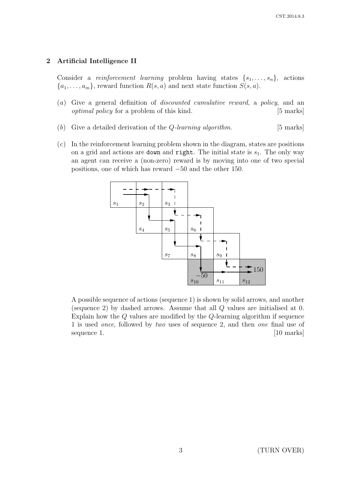## 2 Artificial Intelligence II

Consider a *reinforcement learning* problem having states  $\{s_1, \ldots, s_n\}$ , actions  ${a_1, \ldots, a_m}$ , reward function  $R(s, a)$  and next state function  $S(s, a)$ .

- (a) Give a general definition of discounted cumulative reward, a policy, and an optimal policy for a problem of this kind. [5 marks]
- (b) Give a detailed derivation of the *Q*-learning algorithm.  $[5 \text{ marks}]$
- $(c)$  In the reinforcement learning problem shown in the diagram, states are positions on a grid and actions are down and right. The initial state is  $s<sub>1</sub>$ . The only way an agent can receive a (non-zero) reward is by moving into one of two special positions, one of which has reward −50 and the other 150.



A possible sequence of actions (sequence 1) is shown by solid arrows, and another (sequence 2) by dashed arrows. Assume that all Q values are initialised at 0. Explain how the Q values are modified by the Q-learning algorithm if sequence 1 is used once, followed by two uses of sequence 2, and then one final use of sequence 1. [10 marks]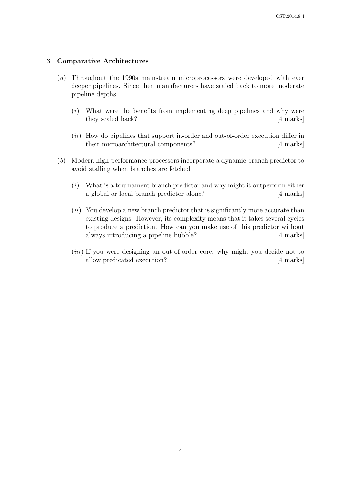### 3 Comparative Architectures

- (a) Throughout the 1990s mainstream microprocessors were developed with ever deeper pipelines. Since then manufacturers have scaled back to more moderate pipeline depths.
	- $(i)$  What were the benefits from implementing deep pipelines and why were they scaled back? [4 marks]
	- $(ii)$  How do pipelines that support in-order and out-of-order execution differ in their microarchitectural components? [4 marks]
- (b) Modern high-performance processors incorporate a dynamic branch predictor to avoid stalling when branches are fetched.
	- $(i)$  What is a tournament branch predictor and why might it outperform either a global or local branch predictor alone? [4 marks]
	- $(ii)$  You develop a new branch predictor that is significantly more accurate than existing designs. However, its complexity means that it takes several cycles to produce a prediction. How can you make use of this predictor without always introducing a pipeline bubble? [4 marks]
	- (*iii*) If you were designing an out-of-order core, why might you decide not to allow predicated execution? [4 marks]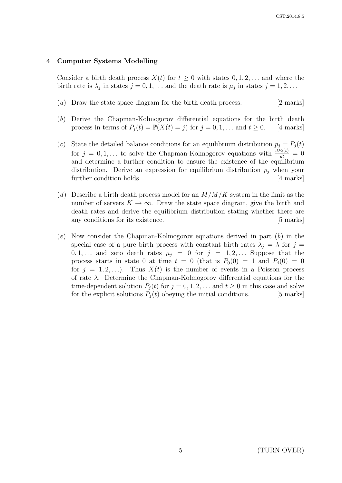### 4 Computer Systems Modelling

Consider a birth death process  $X(t)$  for  $t \geq 0$  with states  $0, 1, 2, \ldots$  and where the birth rate is  $\lambda_j$  in states  $j = 0, 1, \ldots$  and the death rate is  $\mu_j$  in states  $j = 1, 2, \ldots$ 

- (a) Draw the state space diagram for the birth death process. [2 marks]
- (b) Derive the Chapman-Kolmogorov differential equations for the birth death process in terms of  $P_i(t) = \mathbb{P}(X(t) = j)$  for  $j = 0, 1, \dots$  and  $t \geq 0$ . [4 marks]
- (c) State the detailed balance conditions for an equilibrium distribution  $p_j = P_j(t)$ for  $j = 0, 1, ...$  to solve the Chapman-Kolmogorov equations with  $\frac{dP_j(t)}{dt} = 0$ and determine a further condition to ensure the existence of the equilibrium distribution. Derive an expression for equilibrium distribution  $p_i$  when your further condition holds. [4 marks]
- (d) Describe a birth death process model for an  $M/M/K$  system in the limit as the number of servers  $K \to \infty$ . Draw the state space diagram, give the birth and death rates and derive the equilibrium distribution stating whether there are any conditions for its existence. [5 marks]
- $(e)$  Now consider the Chapman-Kolmogorov equations derived in part  $(b)$  in the special case of a pure birth process with constant birth rates  $\lambda_j = \lambda$  for  $j =$  $0, 1, \ldots$  and zero death rates  $\mu_j = 0$  for  $j = 1, 2, \ldots$  Suppose that the process starts in state 0 at time  $t = 0$  (that is  $P_0(0) = 1$  and  $P_i(0) = 0$ for  $j = 1, 2, \ldots$ ). Thus  $X(t)$  is the number of events in a Poisson process of rate  $\lambda$ . Determine the Chapman-Kolmogorov differential equations for the time-dependent solution  $P_i(t)$  for  $j = 0, 1, 2, \ldots$  and  $t \geq 0$  in this case and solve for the explicit solutions  $P_i(t)$  obeying the initial conditions. [5 marks]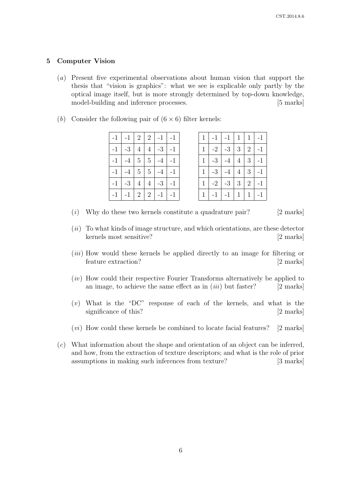## 5 Computer Vision

- (a) Present five experimental observations about human vision that support the thesis that "vision is graphics": what we see is explicable only partly by the optical image itself, but is more strongly determined by top-down knowledge, model-building and inference processes. [5 marks]
- (b) Consider the following pair of  $(6 \times 6)$  filter kernels:

| $-1$        | $-1$ | 2 <sup>1</sup> | $\overline{2}$ | $-1$ | $-1$ |
|-------------|------|----------------|----------------|------|------|
| $^{\rm -1}$ | $-3$ | $\overline{4}$ | $\overline{4}$ | $-3$ | $-1$ |
| $-1$        | $-4$ | $\overline{5}$ | $\overline{5}$ |      | $-1$ |
| $^{\rm -1}$ | $-4$ | $\overline{5}$ | $5\,$          | $-4$ | $-1$ |
| $-1$        | $-3$ | $\overline{4}$ | $\overline{4}$ | $-3$ | $-1$ |
| $-1$        | $-1$ | $\sqrt{2}$     | $\overline{2}$ | $-1$ | $-1$ |

| $-1$ $-1$ $2$ $2$ $-1$ $-1$ |  |  | 1 <sup>1</sup> |      | $-1$ $-1$ $1$ $1$ $1$ $-1$ |  |  |
|-----------------------------|--|--|----------------|------|----------------------------|--|--|
| $-1$ $-3$ $4$ $4$ $-3$ $-1$ |  |  | 1 <sup>1</sup> |      | $-2$ $-3$ $3$ $2$ $-1$     |  |  |
| $-1$ $-4$ $5$ $5$ $-4$      |  |  | 1 <sup>1</sup> | $-3$ | $-4$   4   3   -1          |  |  |
| $-1$ $-4$ $5$ $5$ $-4$      |  |  | 1 <sup>1</sup> | $-3$ | $-4$   4   3   -1          |  |  |
| $-1$ $-3$ $4$ $4$ $-3$ $-1$ |  |  | 1 <sup>1</sup> |      | $-2$ $-3$ $3$ $2$ $-1$     |  |  |
| $-1$ $-1$ $2$ $2$ $-1$ $-1$ |  |  | 1 <sup>1</sup> |      | $-1$ $-1$ $1$ $1$ $-1$     |  |  |

- $(i)$  Why do these two kernels constitute a quadrature pair? [2 marks]
- $(ii)$  To what kinds of image structure, and which orientations, are these detector kernels most sensitive? [2 marks]
- (*iii*) How would these kernels be applied directly to an image for filtering or feature extraction? [2 marks]
- (iv) How could their respective Fourier Transforms alternatively be applied to an image, to achieve the same effect as in  $(iii)$  but faster? [2 marks]
- $(v)$  What is the "DC" response of each of the kernels, and what is the significance of this? [2 marks]
- $(vi)$  How could these kernels be combined to locate facial features? [2 marks]
- (c) What information about the shape and orientation of an object can be inferred, and how, from the extraction of texture descriptors; and what is the role of prior assumptions in making such inferences from texture? [3 marks]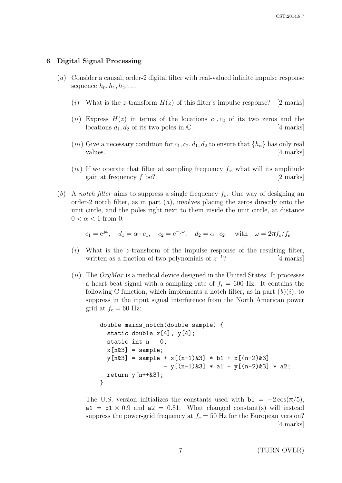#### 6 Digital Signal Processing

- (a) Consider a causal, order-2 digital filter with real-valued infinite impulse response sequence  $h_0, h_1, h_2, \ldots$ 
	- (i) What is the z-transform  $H(z)$  of this filter's impulse response? [2 marks]
	- (ii) Express  $H(z)$  in terms of the locations  $c_1, c_2$  of its two zeros and the locations  $d_1, d_2$  of its two poles in  $\mathbb{C}$ . [4 marks]
	- (*iii*) Give a necessary condition for  $c_1, c_2, d_1, d_2$  to ensure that  $\{h_n\}$  has only real values.  $\frac{4 \text{ marks}}{4}$
	- $(iv)$  If we operate that filter at sampling frequency  $f_s$ , what will its amplitude gain at frequency  $f \geq 2$  marks]
- (b) A notch filter aims to suppress a single frequency  $f_c$ . One way of designing an order-2 notch filter, as in part  $(a)$ , involves placing the zeros directly onto the unit circle, and the poles right next to them inside the unit circle, at distance  $0 < \alpha < 1$  from 0:

$$
c_1 = e^{j\omega}
$$
,  $d_1 = \alpha \cdot c_1$ ,  $c_2 = e^{-j\omega}$ ,  $d_2 = \alpha \cdot c_2$ , with  $\omega = 2\pi f_c/f_s$ 

- $(i)$  What is the z-transform of the impulse response of the resulting filter, written as a fraction of two polynomials of  $z^{-1}$ [4 marks]
- (ii) The  $OxyMax$  is a medical device designed in the United States. It processes a heart-beat signal with a sampling rate of  $f_s = 600$  Hz. It contains the following C function, which implements a notch filter, as in part  $(b)(i)$ , to suppress in the input signal interference from the North American power grid at  $f_c = 60$  Hz:

```
double mains_notch(double sample) {
static double x[4], y[4];
static int n = 0;
x[n\&3] = sample;y[n&3] = sample + x[(n-1)&3] * b1 + x[(n-2)&3]-y[(n-1)k3] * a1 - y[(n-2)k3] * a2;return y[n++&3];}
```
The U.S. version initializes the constants used with  $b1 = -2\cos(\pi/5)$ ,  $a1 = b1 \times 0.9$  and  $a2 = 0.81$ . What changed constant(s) will instead suppress the power-grid frequency at  $f_c = 50$  Hz for the European version? [4 marks]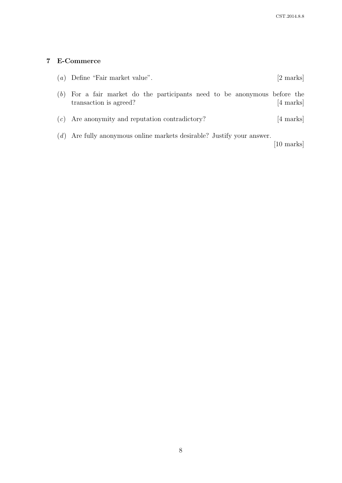# 7 E-Commerce

|     | $(a)$ Define "Fair market value".                                                               | $[2 \text{ marks}]$ |
|-----|-------------------------------------------------------------------------------------------------|---------------------|
| (b) | For a fair market do the participants need to be anonymous before the<br>transaction is agreed? | [4 marks]           |
| (c) | Are anonymity and reputation contradictory?                                                     | [4 marks]           |
|     | $(d)$ Are fully anonymous online markets desirable? Justify your answer.                        | [10 marks]          |

8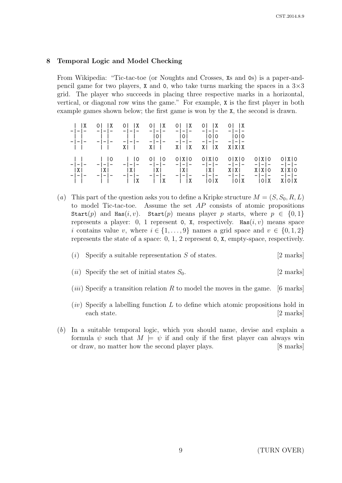## 8 Temporal Logic and Model Checking

From Wikipedia: "Tic-tac-toe (or Noughts and Crosses, Xs and 0s) is a paper-andpencil game for two players, **X** and 0, who take turns marking the spaces in a  $3\times3$ grid. The player who succeeds in placing three respective marks in a horizontal, vertical, or diagonal row wins the game." For example, X is the first player in both example games shown below; the first game is won by the X, the second is drawn.

|  | $\begin{array}{c cccc c}   &  X & 0  &  X & 0  &  X & 0  &  X & 0  &  X & 0  &  X & 0  &  X \\ - - -\;\cdot\;\cdot\;\cdot - - & - - - & - - - & - - - & - - - & - - - & - - - \\ - - - & - - -\;\cdot\;\cdot - - & - - - & - - - & - - - & - - -\;\cdot\;\cdot - -\end{array}$ |  |  |  |
|--|--------------------------------------------------------------------------------------------------------------------------------------------------------------------------------------------------------------------------------------------------------------------------------|--|--|--|
|  |                                                                                                                                                                                                                                                                                |  |  |  |

(a) This part of the question asks you to define a Kripke structure  $M = (S, S_0, R, L)$ to model Tic-tac-toe. Assume the set  $AP$  consists of atomic propositions Start(p) and Has(i, v). Start(p) means player p starts, where  $p \in \{0,1\}$ represents a player: 0, 1 represent 0, X, respectively. Has  $(i, v)$  means space i contains value v, where  $i \in \{1, \ldots, 9\}$  names a grid space and  $v \in \{0, 1, 2\}$ represents the state of a space: 0, 1, 2 represent 0, X, empty-space, respectively.

#### (i) Specify a suitable representation  $S$  of states. [2 marks]

- (*ii*) Specify the set of initial states  $S_0$ . [2 marks]
- (*iii*) Specify a transition relation R to model the moves in the game. [6 marks]
- $(iv)$  Specify a labelling function L to define which atomic propositions hold in each state. [2 marks]
- (b) In a suitable temporal logic, which you should name, devise and explain a formula  $\psi$  such that  $M \models \psi$  if and only if the first player can always win or draw, no matter how the second player plays. [8 marks]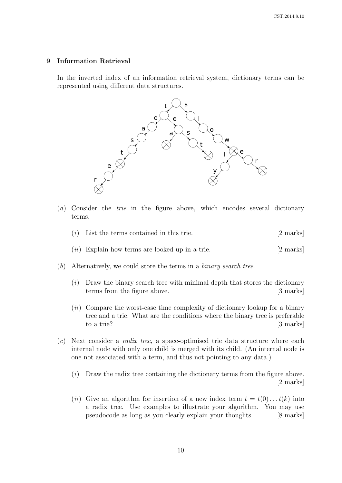### 9 Information Retrieval

In the inverted index of an information retrieval system, dictionary terms can be represented using different data structures.



- (a) Consider the trie in the figure above, which encodes several dictionary terms.
	- $(i)$  List the terms contained in this trie. [2 marks]
	- $(ii)$  Explain how terms are looked up in a trie. [2 marks]
- (b) Alternatively, we could store the terms in a binary search tree.
	- (i) Draw the binary search tree with minimal depth that stores the dictionary terms from the figure above. [3 marks]
	- $(ii)$  Compare the worst-case time complexity of dictionary lookup for a binary tree and a trie. What are the conditions where the binary tree is preferable to a trie? [3 marks]
- $(c)$  Next consider a *radix tree*, a space-optimised trie data structure where each internal node with only one child is merged with its child. (An internal node is one not associated with a term, and thus not pointing to any data.)
	- $(i)$  Draw the radix tree containing the dictionary terms from the figure above. [2 marks]
	- (ii) Give an algorithm for insertion of a new index term  $t = t(0) \dots t(k)$  into a radix tree. Use examples to illustrate your algorithm. You may use pseudocode as long as you clearly explain your thoughts. [8 marks]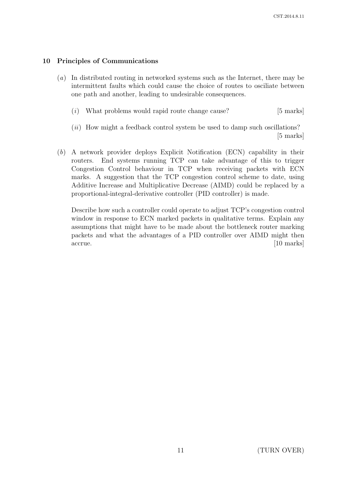# 10 Principles of Communications

- (a) In distributed routing in networked systems such as the Internet, there may be intermittent faults which could cause the choice of routes to osciliate between one path and another, leading to undesirable consequences.
	- $(i)$  What problems would rapid route change cause? [5 marks]
	- $(ii)$  How might a feedback control system be used to damp such oscillations? [5 marks]
- (b) A network provider deploys Explicit Notification (ECN) capability in their routers. End systems running TCP can take advantage of this to trigger Congestion Control behaviour in TCP when receiving packets with ECN marks. A suggestion that the TCP congestion control scheme to date, using Additive Increase and Multiplicative Decrease (AIMD) could be replaced by a proportional-integral-derivative controller (PID controller) is made.

Describe how such a controller could operate to adjust TCP's congestion control window in response to ECN marked packets in qualitative terms. Explain any assumptions that might have to be made about the bottleneck router marking packets and what the advantages of a PID controller over AIMD might then accrue. [10 marks]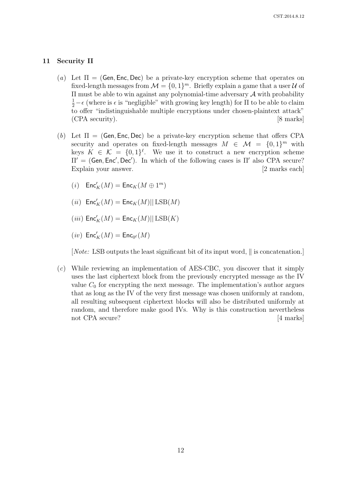## 11 Security II

- (a) Let  $\Pi = (Gen, Enc, Dec)$  be a private-key encryption scheme that operates on fixed-length messages from  $\mathcal{M} = \{0, 1\}^m$ . Briefly explain a game that a user  $\mathcal U$  of  $\Pi$  must be able to win against any polynomial-time adversary  $\mathcal A$  with probability  $\frac{1}{2} - \epsilon$  (where is  $\epsilon$  is "negligible" with growing key length) for  $\Pi$  to be able to claim to offer "indistinguishable multiple encryptions under chosen-plaintext attack" (CPA security). [8 marks]
- (b) Let  $\Pi = (Gen, Enc, Dec)$  be a private-key encryption scheme that offers CPA security and operates on fixed-length messages  $M \in \mathcal{M} = \{0,1\}^m$  with keys  $K \in \mathcal{K} = \{0,1\}^{\ell}$ . We use it to construct a new encryption scheme  $\Pi' = (Gen, Enc', Dec').$  In which of the following cases is  $\Pi'$  also CPA secure? Explain your answer. [2 marks each]
	- $(i)$   $\mathsf{Enc}'_K(M) = \mathsf{Enc}_K(M \oplus 1^m)$
	- $(ii)$   $\mathsf{Enc}'_K(M) = \mathsf{Enc}_K(M) || \operatorname{LSB}(M)$
	- $(iii)$   $\mathsf{Enc}'_K(M) = \mathsf{Enc}_K(M) || \operatorname{LSB}(K)$
	- $(iv)$   $\mathsf{Enc}'_K(M) = \mathsf{Enc}_{0^\ell}(M)$

[*Note:* LSB outputs the least significant bit of its input word,  $\parallel$  is concatenation.]

(c) While reviewing an implementation of AES-CBC, you discover that it simply uses the last ciphertext block from the previously encrypted message as the IV value  $C_0$  for encrypting the next message. The implementation's author argues that as long as the IV of the very first message was chosen uniformly at random, all resulting subsequent ciphertext blocks will also be distributed uniformly at random, and therefore make good IVs. Why is this construction nevertheless not CPA secure? [4 marks]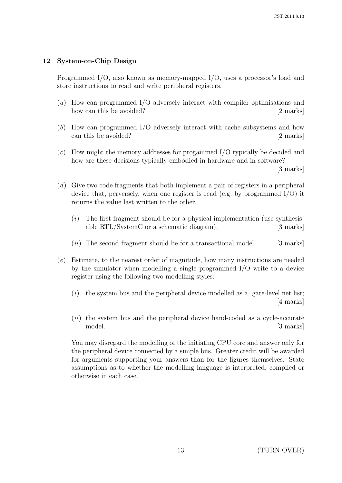# 12 System-on-Chip Design

Programmed I/O, also known as memory-mapped I/O, uses a processor's load and store instructions to read and write peripheral registers.

- (a) How can programmed I/O adversely interact with compiler optimisations and how can this be avoided? [2 marks]
- (b) How can programmed I/O adversely interact with cache subsystems and how can this be avoided? [2 marks]
- (c) How might the memory addresses for progammed I/O typically be decided and how are these decisions typically embodied in hardware and in software?

[3 marks]

- (d) Give two code fragments that both implement a pair of registers in a peripheral device that, perversely, when one register is read (e.g. by programmed I/O) it returns the value last written to the other.
	- $(i)$  The first fragment should be for a physical implementation (use synthesisable RTL/SystemC or a schematic diagram), [3 marks]
	- $(ii)$  The second fragment should be for a transactional model. [3 marks]
- (e) Estimate, to the nearest order of magnitude, how many instructions are needed by the simulator when modelling a single programmed I/O write to a device register using the following two modelling styles:
	- $(i)$  the system bus and the peripheral device modelled as a gate-level net list; [4 marks]
	- $(ii)$  the system bus and the peripheral device hand-coded as a cycle-accurate model. [3 marks]

You may disregard the modelling of the initiating CPU core and answer only for the peripheral device connected by a simple bus. Greater credit will be awarded for arguments supporting your answers than for the figures themselves. State assumptions as to whether the modelling language is interpreted, compiled or otherwise in each case.